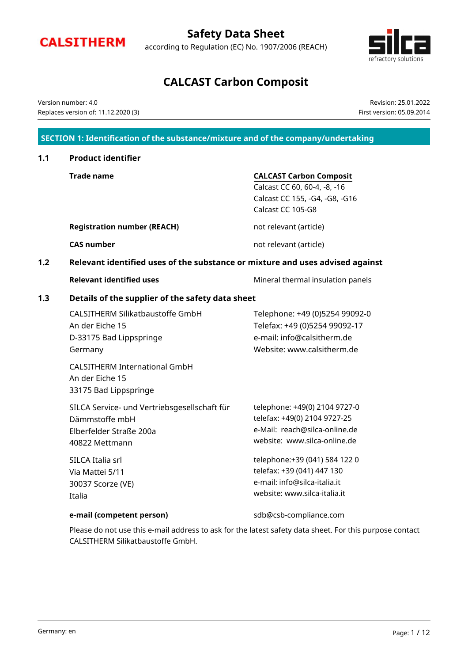

| Page: 1 / 12 |
|--------------|
|              |
|              |

|                   | <b>Safety Data Sheet</b>                           |
|-------------------|----------------------------------------------------|
| <b>CALSITHERM</b> | according to Regulation (EC) No. 1907/2006 (REACH) |

# **CALCAST Carbon Composit**

## Version number: 4.0 Replaces version of: 11.12.2020 (3)

## **SECTION 1: Identification of the substance/mixture and of the company/undertaking**

| 1.1 | <b>Product identifier</b>                                                                                   |                                                                                                                                |  |  |  |  |
|-----|-------------------------------------------------------------------------------------------------------------|--------------------------------------------------------------------------------------------------------------------------------|--|--|--|--|
|     | <b>Trade name</b>                                                                                           | <b>CALCAST Carbon Composit</b><br>Calcast CC 60, 60-4, -8, -16<br>Calcast CC 155, -G4, -G8, -G16<br>Calcast CC 105-G8          |  |  |  |  |
|     | <b>Registration number (REACH)</b>                                                                          | not relevant (article)                                                                                                         |  |  |  |  |
|     | <b>CAS number</b>                                                                                           | not relevant (article)                                                                                                         |  |  |  |  |
| 1.2 | Relevant identified uses of the substance or mixture and uses advised against                               |                                                                                                                                |  |  |  |  |
|     | <b>Relevant identified uses</b>                                                                             | Mineral thermal insulation panels                                                                                              |  |  |  |  |
| 1.3 | Details of the supplier of the safety data sheet                                                            |                                                                                                                                |  |  |  |  |
|     | <b>CALSITHERM Silikatbaustoffe GmbH</b><br>An der Eiche 15<br>D-33175 Bad Lippspringe<br>Germany            | Telephone: +49 (0)5254 99092-0<br>Telefax: +49 (0)5254 99092-17<br>e-mail: info@calsitherm.de<br>Website: www.calsitherm.de    |  |  |  |  |
|     | <b>CALSITHERM International GmbH</b><br>An der Eiche 15<br>33175 Bad Lippspringe                            |                                                                                                                                |  |  |  |  |
|     | SILCA Service- und Vertriebsgesellschaft für<br>Dämmstoffe mbH<br>Elberfelder Straße 200a<br>40822 Mettmann | telephone: +49(0) 2104 9727-0<br>telefax: +49(0) 2104 9727-25<br>e-Mail: reach@silca-online.de<br>website: www.silca-online.de |  |  |  |  |
|     | SILCA Italia srl<br>Via Mattei 5/11<br>30037 Scorze (VE)<br>Italia                                          | telephone:+39 (041) 584 122 0<br>telefax: +39 (041) 447 130<br>e-mail: info@silca-italia.it<br>website: www.silca-italia.it    |  |  |  |  |
|     | e-mail (competent person)                                                                                   | sdb@csb-compliance.com                                                                                                         |  |  |  |  |

Please do not use this e-mail address to ask for the latest safety data sheet. For this purpose contact CALSITHERM Silikatbaustoffe GmbH.



Revision: 25.01.2022 First version: 05.09.2014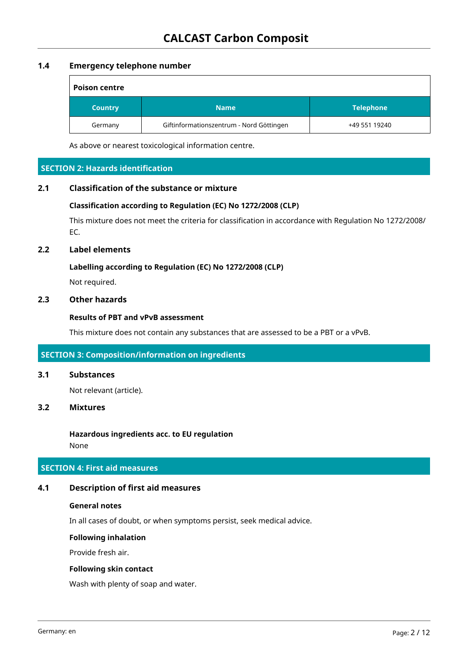## **1.4 Emergency telephone number**

| <b>Poison centre</b> |                                          |                  |  |  |
|----------------------|------------------------------------------|------------------|--|--|
| <b>Country</b>       | <b>Name</b>                              | <b>Telephone</b> |  |  |
| Germany              | Giftinformationszentrum - Nord Göttingen | +49 551 19240    |  |  |

As above or nearest toxicological information centre.

## **SECTION 2: Hazards identification**

#### **2.1 Classification of the substance or mixture**

#### **Classification according to Regulation (EC) No 1272/2008 (CLP)**

This mixture does not meet the criteria for classification in accordance with Regulation No 1272/2008/ EC.

#### **2.2 Label elements**

#### **Labelling according to Regulation (EC) No 1272/2008 (CLP)**

Not required.

## **2.3 Other hazards**

#### **Results of PBT and vPvB assessment**

This mixture does not contain any substances that are assessed to be a PBT or a vPvB.

#### **SECTION 3: Composition/information on ingredients**

## **3.1 Substances**

Not relevant (article).

#### **3.2 Mixtures**

**Hazardous ingredients acc. to EU regulation** None

## **SECTION 4: First aid measures**

#### **4.1 Description of first aid measures**

#### **General notes**

In all cases of doubt, or when symptoms persist, seek medical advice.

#### **Following inhalation**

Provide fresh air.

## **Following skin contact**

Wash with plenty of soap and water.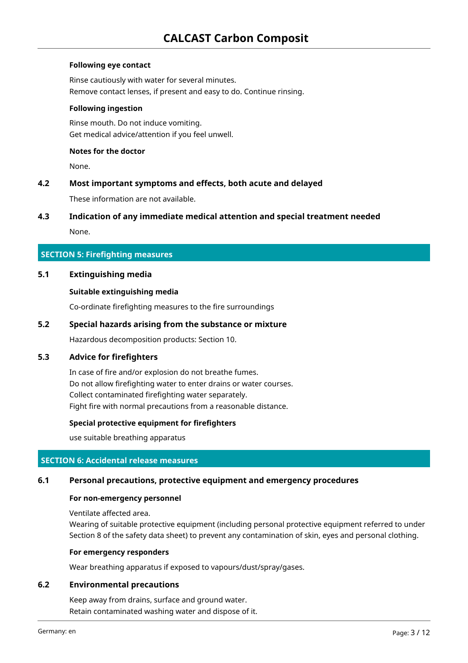## **Following eye contact**

Rinse cautiously with water for several minutes. Remove contact lenses, if present and easy to do. Continue rinsing.

#### **Following ingestion**

Rinse mouth. Do not induce vomiting. Get medical advice/attention if you feel unwell.

## **Notes for the doctor**

None.

#### **4.2 Most important symptoms and effects, both acute and delayed**

These information are not available.

#### **4.3 Indication of any immediate medical attention and special treatment needed**

None.

#### **SECTION 5: Firefighting measures**

## **5.1 Extinguishing media**

#### **Suitable extinguishing media**

Co-ordinate firefighting measures to the fire surroundings

#### **5.2 Special hazards arising from the substance or mixture**

Hazardous decomposition products: Section 10.

#### **5.3 Advice for firefighters**

In case of fire and/or explosion do not breathe fumes. Do not allow firefighting water to enter drains or water courses. Collect contaminated firefighting water separately. Fight fire with normal precautions from a reasonable distance.

#### **Special protective equipment for firefighters**

use suitable breathing apparatus

#### **SECTION 6: Accidental release measures**

#### **6.1 Personal precautions, protective equipment and emergency procedures**

#### **For non-emergency personnel**

Ventilate affected area.

Wearing of suitable protective equipment (including personal protective equipment referred to under Section 8 of the safety data sheet) to prevent any contamination of skin, eyes and personal clothing.

#### **For emergency responders**

Wear breathing apparatus if exposed to vapours/dust/spray/gases.

#### **6.2 Environmental precautions**

Keep away from drains, surface and ground water. Retain contaminated washing water and dispose of it.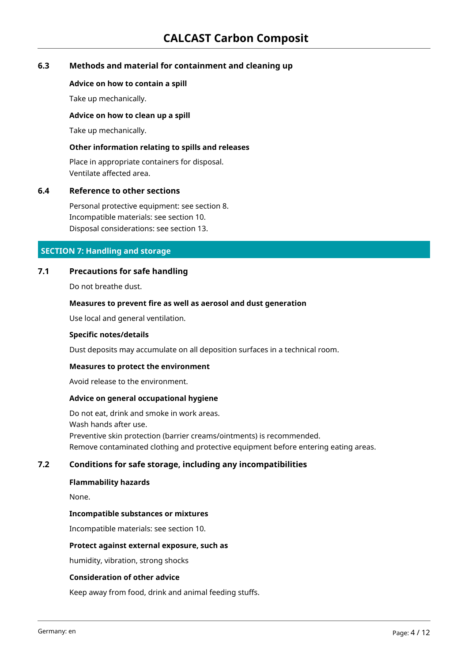## **6.3 Methods and material for containment and cleaning up**

#### **Advice on how to contain a spill**

Take up mechanically.

#### **Advice on how to clean up a spill**

Take up mechanically.

#### **Other information relating to spills and releases**

Place in appropriate containers for disposal. Ventilate affected area.

#### **6.4 Reference to other sections**

Personal protective equipment: see section 8. Incompatible materials: see section 10. Disposal considerations: see section 13.

#### **SECTION 7: Handling and storage**

#### **7.1 Precautions for safe handling**

Do not breathe dust.

#### **Measures to prevent fire as well as aerosol and dust generation**

Use local and general ventilation.

#### **Specific notes/details**

Dust deposits may accumulate on all deposition surfaces in a technical room.

#### **Measures to protect the environment**

Avoid release to the environment.

#### **Advice on general occupational hygiene**

Do not eat, drink and smoke in work areas. Wash hands after use. Preventive skin protection (barrier creams/ointments) is recommended. Remove contaminated clothing and protective equipment before entering eating areas.

#### **7.2 Conditions for safe storage, including any incompatibilities**

#### **Flammability hazards**

None.

#### **Incompatible substances or mixtures**

Incompatible materials: see section 10.

#### **Protect against external exposure, such as**

humidity, vibration, strong shocks

#### **Consideration of other advice**

Keep away from food, drink and animal feeding stuffs.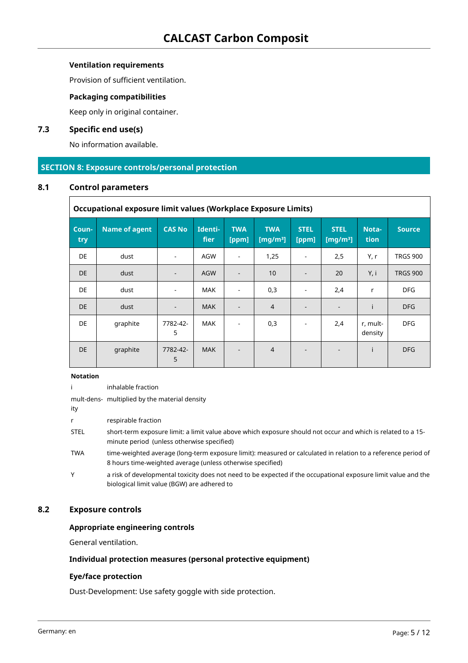## **Ventilation requirements**

Provision of sufficient ventilation.

## **Packaging compatibilities**

Keep only in original container.

## **7.3 Specific end use(s)**

No information available.

## **SECTION 8: Exposure controls/personal protection**

#### **8.1 Control parameters**

 $\Gamma$ 

| Occupational exposure limit values (Workplace Exposure Limits) |                      |                              |                        |                          |                           |                          |                            |                     |                 |
|----------------------------------------------------------------|----------------------|------------------------------|------------------------|--------------------------|---------------------------|--------------------------|----------------------------|---------------------|-----------------|
| Coun-<br>try                                                   | <b>Name of agent</b> | <b>CAS No</b>                | Identi-<br><b>fier</b> | <b>TWA</b><br>[ppm]      | <b>TWA</b><br>[ $mg/m3$ ] | <b>STEL</b><br>[ppm]     | <b>STEL</b><br>[ $mg/m3$ ] | Nota-<br>tion       | <b>Source</b>   |
| <b>DE</b>                                                      | dust                 | $\qquad \qquad \blacksquare$ | AGW                    | $\overline{\phantom{a}}$ | 1,25                      | $\overline{\phantom{a}}$ | 2,5                        | Y, r                | <b>TRGS 900</b> |
| <b>DE</b>                                                      | dust                 |                              | <b>AGW</b>             |                          | 10                        | $\overline{\phantom{a}}$ | 20                         | Y, i                | <b>TRGS 900</b> |
| <b>DE</b>                                                      | dust                 |                              | <b>MAK</b>             |                          | 0,3                       | $\overline{\phantom{0}}$ | 2,4                        | r                   | <b>DFG</b>      |
| <b>DE</b>                                                      | dust                 | $\overline{\phantom{0}}$     | <b>MAK</b>             |                          | $\overline{4}$            | $\overline{\phantom{a}}$ |                            | Ť                   | <b>DFG</b>      |
| <b>DE</b>                                                      | graphite             | 7782-42-<br>5                | <b>MAK</b>             |                          | 0,3                       |                          | 2,4                        | r, mult-<br>density | <b>DFG</b>      |
| <b>DE</b>                                                      | graphite             | 7782-42-<br>5                | <b>MAK</b>             |                          | $\overline{4}$            | $\overline{a}$           |                            |                     | <b>DFG</b>      |

#### **Notation**

i inhalable fraction

mult-dens-multiplied by the material density

ity

r respirable fraction

STEL short-term exposure limit: a limit value above which exposure should not occur and which is related to a 15 minute period (unless otherwise specified)

TWA time-weighted average (long-term exposure limit): measured or calculated in relation to a reference period of 8 hours time-weighted average (unless otherwise specified)

Y a risk of developmental toxicity does not need to be expected if the occupational exposure limit value and the biological limit value (BGW) are adhered to

#### **8.2 Exposure controls**

#### **Appropriate engineering controls**

General ventilation.

#### **Individual protection measures (personal protective equipment)**

#### **Eye/face protection**

Dust-Development: Use safety goggle with side protection.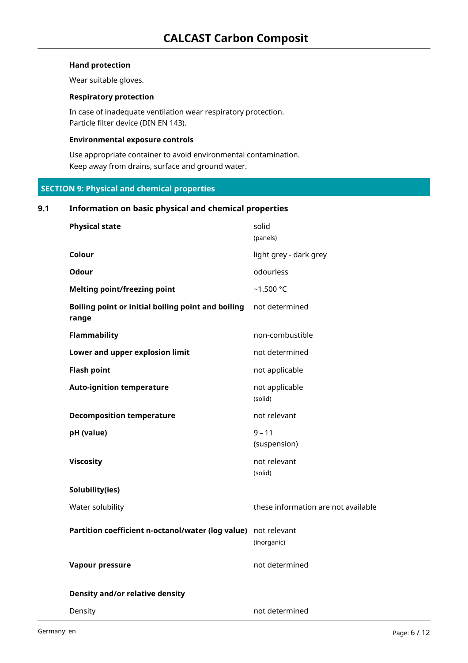## **Hand protection**

Wear suitable gloves.

#### **Respiratory protection**

In case of inadequate ventilation wear respiratory protection. Particle filter device (DIN EN 143).

#### **Environmental exposure controls**

Use appropriate container to avoid environmental contamination. Keep away from drains, surface and ground water.

## **SECTION 9: Physical and chemical properties**

## **9.1 Information on basic physical and chemical properties**

| <b>Physical state</b>                                          | solid<br>(panels)                   |
|----------------------------------------------------------------|-------------------------------------|
| Colour                                                         | light grey - dark grey              |
| Odour                                                          | odourless                           |
| <b>Melting point/freezing point</b>                            | $-1.500 °C$                         |
| Boiling point or initial boiling point and boiling<br>range    | not determined                      |
| <b>Flammability</b>                                            | non-combustible                     |
| Lower and upper explosion limit                                | not determined                      |
| <b>Flash point</b>                                             | not applicable                      |
| <b>Auto-ignition temperature</b>                               | not applicable<br>(solid)           |
| <b>Decomposition temperature</b>                               | not relevant                        |
| pH (value)                                                     | $9 - 11$<br>(suspension)            |
| <b>Viscosity</b>                                               | not relevant<br>(solid)             |
| Solubility(ies)                                                |                                     |
| Water solubility                                               | these information are not available |
| Partition coefficient n-octanol/water (log value) not relevant | (inorganic)                         |
| Vapour pressure                                                | not determined                      |
| <b>Density and/or relative density</b>                         |                                     |
| Density                                                        | not determined                      |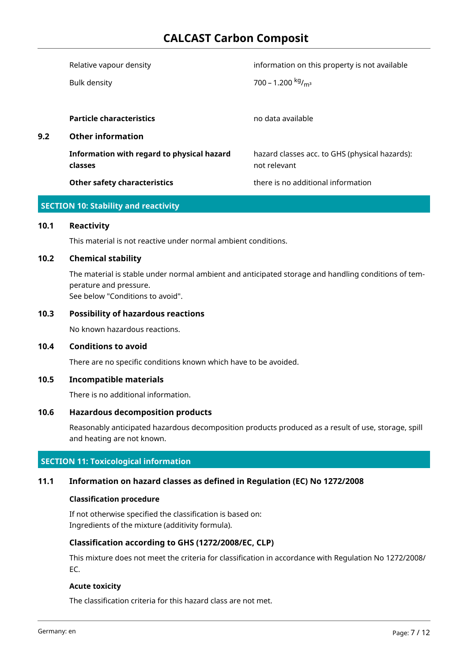## **CALCAST Carbon Composit**

|     | Relative vapour density                               | information on this property is not available                  |
|-----|-------------------------------------------------------|----------------------------------------------------------------|
|     | <b>Bulk density</b>                                   | 700 - 1.200 $kg/m3$                                            |
|     |                                                       |                                                                |
|     | <b>Particle characteristics</b>                       | no data available                                              |
| 9.2 | <b>Other information</b>                              |                                                                |
|     | Information with regard to physical hazard<br>classes | hazard classes acc. to GHS (physical hazards):<br>not relevant |
|     | <b>Other safety characteristics</b>                   | there is no additional information                             |
|     |                                                       |                                                                |

## **SECTION 10: Stability and reactivity**

#### **10.1 Reactivity**

This material is not reactive under normal ambient conditions.

#### **10.2 Chemical stability**

The material is stable under normal ambient and anticipated storage and handling conditions of temperature and pressure. See below "Conditions to avoid".

#### **10.3 Possibility of hazardous reactions**

No known hazardous reactions.

#### **10.4 Conditions to avoid**

There are no specific conditions known which have to be avoided.

#### **10.5 Incompatible materials**

There is no additional information.

## **10.6 Hazardous decomposition products**

Reasonably anticipated hazardous decomposition products produced as a result of use, storage, spill and heating are not known.

#### **SECTION 11: Toxicological information**

#### **11.1 Information on hazard classes as defined in Regulation (EC) No 1272/2008**

#### **Classification procedure**

If not otherwise specified the classification is based on: Ingredients of the mixture (additivity formula).

#### **Classification according to GHS (1272/2008/EC, CLP)**

This mixture does not meet the criteria for classification in accordance with Regulation No 1272/2008/ EC.

#### **Acute toxicity**

The classification criteria for this hazard class are not met.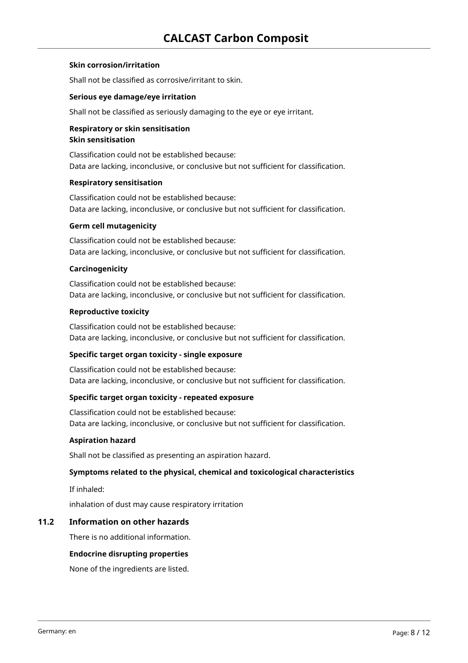## **Skin corrosion/irritation**

Shall not be classified as corrosive/irritant to skin.

#### **Serious eye damage/eye irritation**

Shall not be classified as seriously damaging to the eye or eye irritant.

## **Respiratory or skin sensitisation Skin sensitisation**

Classification could not be established because: Data are lacking, inconclusive, or conclusive but not sufficient for classification.

#### **Respiratory sensitisation**

Classification could not be established because: Data are lacking, inconclusive, or conclusive but not sufficient for classification.

#### **Germ cell mutagenicity**

Classification could not be established because: Data are lacking, inconclusive, or conclusive but not sufficient for classification.

#### **Carcinogenicity**

Classification could not be established because: Data are lacking, inconclusive, or conclusive but not sufficient for classification.

#### **Reproductive toxicity**

Classification could not be established because: Data are lacking, inconclusive, or conclusive but not sufficient for classification.

#### **Specific target organ toxicity - single exposure**

Classification could not be established because: Data are lacking, inconclusive, or conclusive but not sufficient for classification.

#### **Specific target organ toxicity - repeated exposure**

Classification could not be established because: Data are lacking, inconclusive, or conclusive but not sufficient for classification.

#### **Aspiration hazard**

Shall not be classified as presenting an aspiration hazard.

#### **Symptoms related to the physical, chemical and toxicological characteristics**

If inhaled:

inhalation of dust may cause respiratory irritation

## **11.2 Information on other hazards**

There is no additional information.

#### **Endocrine disrupting properties**

None of the ingredients are listed.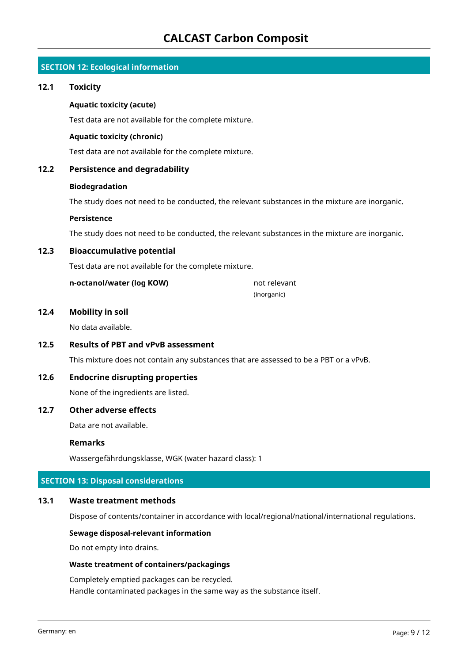## **SECTION 12: Ecological information**

#### **12.1 Toxicity**

#### **Aquatic toxicity (acute)**

Test data are not available for the complete mixture.

#### **Aquatic toxicity (chronic)**

Test data are not available for the complete mixture.

## **12.2 Persistence and degradability**

#### **Biodegradation**

The study does not need to be conducted, the relevant substances in the mixture are inorganic.

#### **Persistence**

The study does not need to be conducted, the relevant substances in the mixture are inorganic.

#### **12.3 Bioaccumulative potential**

Test data are not available for the complete mixture.

**n-octanol/water (log KOW)** not relevant

(inorganic)

#### **12.4 Mobility in soil**

No data available.

#### **12.5 Results of PBT and vPvB assessment**

This mixture does not contain any substances that are assessed to be a PBT or a vPvB.

## **12.6 Endocrine disrupting properties**

None of the ingredients are listed.

## **12.7 Other adverse effects**

Data are not available.

#### **Remarks**

Wassergefährdungsklasse, WGK (water hazard class): 1

## **SECTION 13: Disposal considerations**

#### **13.1 Waste treatment methods**

Dispose of contents/container in accordance with local/regional/national/international regulations.

#### **Sewage disposal-relevant information**

Do not empty into drains.

#### **Waste treatment of containers/packagings**

Completely emptied packages can be recycled. Handle contaminated packages in the same way as the substance itself.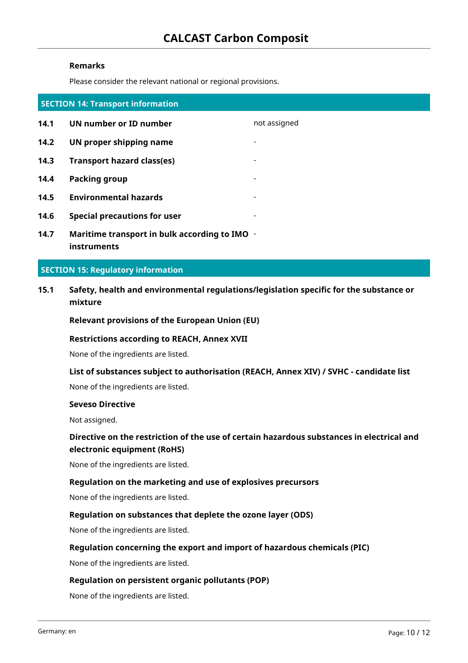#### **Remarks**

Please consider the relevant national or regional provisions.

| <b>SECTION 14: Transport information</b> |                                               |                          |
|------------------------------------------|-----------------------------------------------|--------------------------|
| 14.1                                     | UN number or ID number                        | not assigned             |
| 14.2                                     | UN proper shipping name                       |                          |
| 14.3                                     | <b>Transport hazard class(es)</b>             | $\overline{\phantom{0}}$ |
| 14.4                                     | Packing group                                 | $\overline{\phantom{0}}$ |
| 14.5                                     | <b>Environmental hazards</b>                  | $\blacksquare$           |
| 14.6                                     | <b>Special precautions for user</b>           |                          |
| 14.7                                     | Maritime transport in bulk according to IMO - |                          |

**14.7 Maritime transport in bulk according to IMO instruments**

#### **SECTION 15: Regulatory information**

**15.1 Safety, health and environmental regulations/legislation specific for the substance or mixture**

**Relevant provisions of the European Union (EU)**

#### **Restrictions according to REACH, Annex XVII**

None of the ingredients are listed.

**List of substances subject to authorisation (REACH, Annex XIV) / SVHC - candidate list**

None of the ingredients are listed.

#### **Seveso Directive**

Not assigned.

## **Directive on the restriction of the use of certain hazardous substances in electrical and electronic equipment (RoHS)**

None of the ingredients are listed.

#### **Regulation on the marketing and use of explosives precursors**

None of the ingredients are listed.

## **Regulation on substances that deplete the ozone layer (ODS)**

None of the ingredients are listed.

#### **Regulation concerning the export and import of hazardous chemicals (PIC)**

None of the ingredients are listed.

#### **Regulation on persistent organic pollutants (POP)**

None of the ingredients are listed.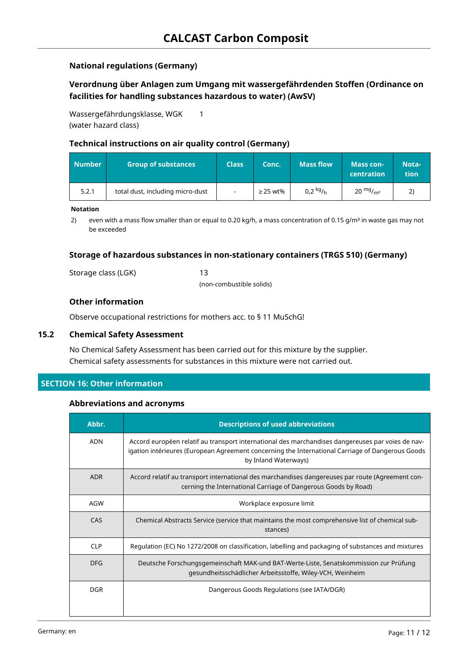## **National regulations (Germany)**

## **Verordnung über Anlagen zum Umgang mit wassergefährdenden Stoffen (Ordinance on facilities for handling substances hazardous to water) (AwSV)**

Wassergefährdungsklasse, WGK (water hazard class)

## **Technical instructions on air quality control (Germany)**

1

| Number | <b>Group of substances</b>       | <b>Class</b>             | Conc.         | <b>Mass flow</b> | <b>Mass con-</b><br>centration | Nota-<br><b>tion</b> |
|--------|----------------------------------|--------------------------|---------------|------------------|--------------------------------|----------------------|
| 5.2.1  | total dust, including micro-dust | $\overline{\phantom{a}}$ | $\geq$ 25 wt% | 0,2 $kg/h$       | $20 \frac{mg}{m^3}$            |                      |

#### **Notation**

2) even with a mass flow smaller than or equal to 0.20 kg/h, a mass concentration of 0.15 g/m<sup>3</sup> in waste gas may not be exceeded

## **Storage of hazardous substances in non-stationary containers (TRGS 510) (Germany)**

Storage class (LGK) 13

(non-combustible solids)

## **Other information**

Observe occupational restrictions for mothers acc. to § 11 MuSchG!

## **15.2 Chemical Safety Assessment**

No Chemical Safety Assessment has been carried out for this mixture by the supplier. Chemical safety assessments for substances in this mixture were not carried out.

## **SECTION 16: Other information**

#### **Abbreviations and acronyms**

| Abbr.      | <b>Descriptions of used abbreviations</b>                                                                                                                                                                                     |
|------------|-------------------------------------------------------------------------------------------------------------------------------------------------------------------------------------------------------------------------------|
| <b>ADN</b> | Accord européen relatif au transport international des marchandises dangereuses par voies de nav-<br>igation intérieures (European Agreement concerning the International Carriage of Dangerous Goods<br>by Inland Waterways) |
| <b>ADR</b> | Accord relatif au transport international des marchandises dangereuses par route (Agreement con-<br>cerning the International Carriage of Dangerous Goods by Road)                                                            |
| AGW        | Workplace exposure limit                                                                                                                                                                                                      |
| CAS        | Chemical Abstracts Service (service that maintains the most comprehensive list of chemical sub-<br>stances)                                                                                                                   |
| <b>CLP</b> | Regulation (EC) No 1272/2008 on classification, labelling and packaging of substances and mixtures                                                                                                                            |
| <b>DFG</b> | Deutsche Forschungsgemeinschaft MAK-und BAT-Werte-Liste, Senatskommission zur Prüfung<br>gesundheitsschädlicher Arbeitsstoffe, Wiley-VCH, Weinheim                                                                            |
| <b>DGR</b> | Dangerous Goods Regulations (see IATA/DGR)                                                                                                                                                                                    |